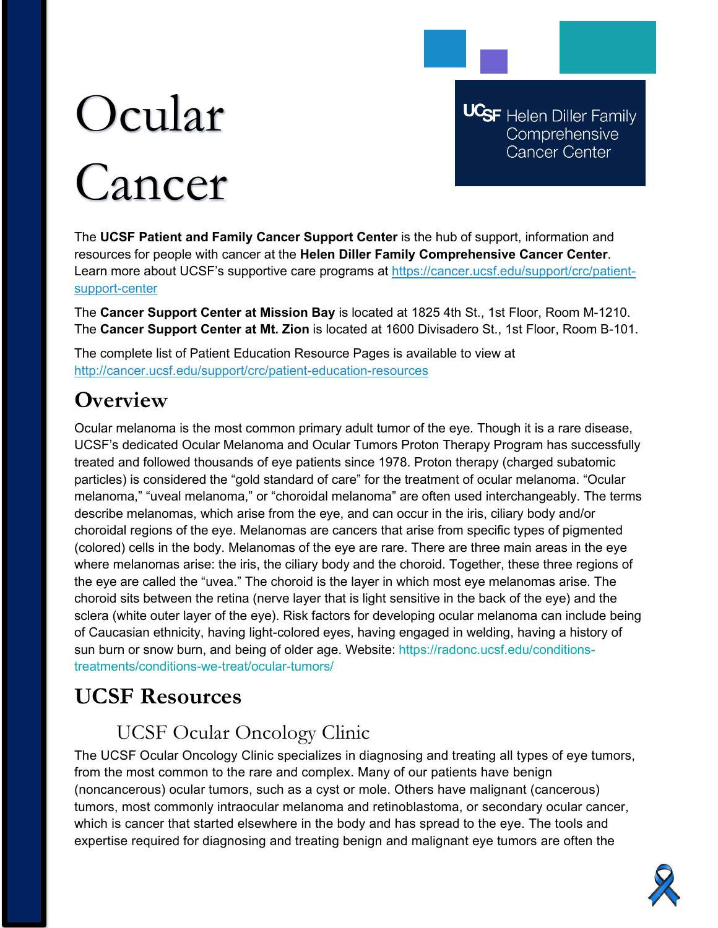# Ocular Cancer

**UCSF** Helen Diller Family Comprehensive Cancer Center

The **UCSF Patient and Family Cancer Support Center** is the hub of support, information and resources for people with cancer at the **Helen Diller Family Comprehensive Cancer Center**. Learn more about UCSF's supportive care programs at [https://cancer.ucsf.edu/support/crc/patient](https://cancer.ucsf.edu/support/crc/patient-support-center)[support-center](https://cancer.ucsf.edu/support/crc/patient-support-center)

The **Cancer Support Center at Mission Bay** is located at 1825 4th St., 1st Floor, Room M-1210. The **Cancer Support Center at Mt. Zion** is located at 1600 Divisadero St., 1st Floor, Room B-101.

The complete list of Patient Education Resource Pages is available to view at <http://cancer.ucsf.edu/support/crc/patient-education-resources>

## **Overview**

Ocular melanoma is the most common primary adult tumor of the eye. Though it is a rare disease, UCSF's dedicated Ocular Melanoma and Ocular Tumors Proton Therapy Program has successfully treated and followed thousands of eye patients since 1978. Proton therapy (charged subatomic particles) is considered the "gold standard of care" for the treatment of ocular melanoma. "Ocular melanoma," "uveal melanoma," or "choroidal melanoma" are often used interchangeably. The terms describe melanomas, which arise from the eye, and can occur in the iris, ciliary body and/or choroidal regions of the eye. Melanomas are cancers that arise from specific types of pigmented (colored) cells in the body. Melanomas of the eye are rare. There are three main areas in the eye where melanomas arise: the iris, the ciliary body and the choroid. Together, these three regions of the eye are called the "uvea." The choroid is the layer in which most eye melanomas arise. The choroid sits between the retina (nerve layer that is light sensitive in the back of the eye) and the sclera (white outer layer of the eye). Risk factors for developing ocular melanoma can include being of Caucasian ethnicity, having light-colored eyes, having engaged in welding, having a history of sun burn or snow burn, and being of older age. Website: https://radonc.ucsf.edu/conditionstreatments/conditions-we-treat/ocular-tumors/

## **UCSF Resources**

### UCSF Ocular Oncology Clinic

The UCSF Ocular Oncology Clinic specializes in diagnosing and treating all types of eye tumors, from the most common to the rare and complex. Many of our patients have benign (noncancerous) ocular tumors, such as a cyst or mole. Others have malignant (cancerous) tumors, most commonly intraocular melanoma and retinoblastoma, or secondary ocular cancer, which is cancer that started elsewhere in the body and has spread to the eye. The tools and expertise required for diagnosing and treating benign and malignant eye tumors are often the

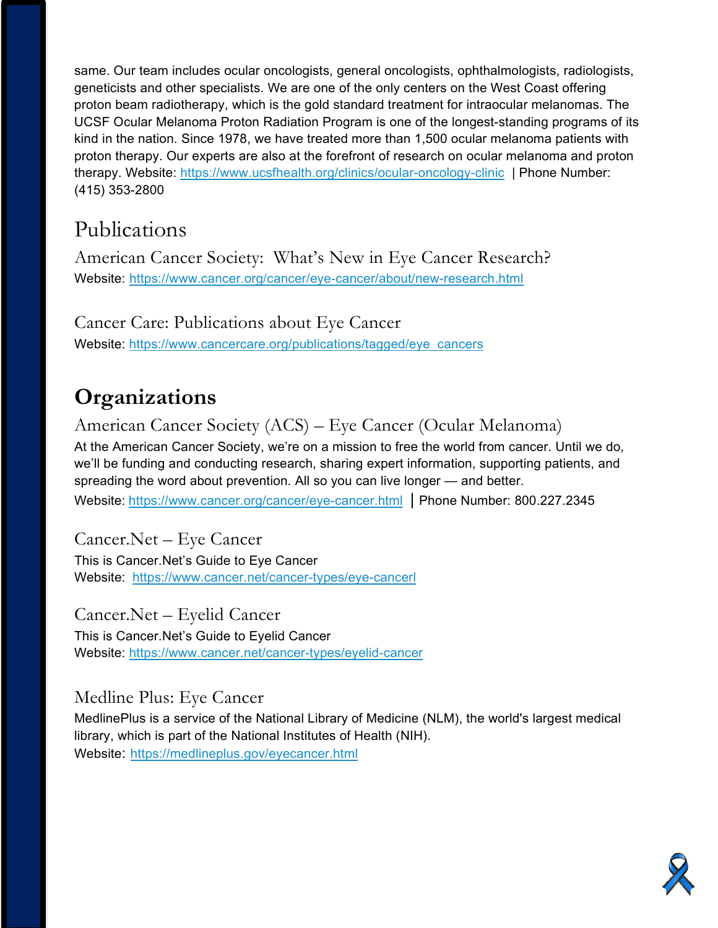same. Our team includes ocular oncologists, general oncologists, ophthalmologists, radiologists, geneticists and other specialists. We are one of the only centers on the West Coast offering proton beam radiotherapy, which is the gold standard treatment for intraocular melanomas. The UCSF Ocular Melanoma Proton Radiation Program is one of the longest-standing programs of its kind in the nation. Since 1978, we have treated more than 1,500 ocular melanoma patients with proton therapy. Our experts are also at the forefront of research on ocular melanoma and proton therapy. Website:<https://www.ucsfhealth.org/clinics/ocular-oncology-clinic> | Phone Number: (415) 353-2800

## Publications

American Cancer Society: What's New in Eye Cancer Research? Website: <https://www.cancer.org/cancer/eye-cancer/about/new-research.html>

Cancer Care: Publications about Eye Cancer Website: [https://www.cancercare.org/publications/tagged/eye\\_cancers](https://www.cancercare.org/publications/tagged/eye_cancers)

# **Organizations**

American Cancer Society (ACS) – Eye Cancer (Ocular Melanoma) At the American Cancer Society, we're on a mission to free the world from cancer. Until we do, we'll be funding and conducting research, sharing expert information, supporting patients, and spreading the word about prevention. All so you can live longer — and better. Website: <https://www.cancer.org/cancer/eye-cancer.html> | Phone Number: 800.227.2345

Cancer.Net – Eye Cancer This is Cancer.Net's Guide to Eye Cancer Website: [https://www.cancer.net/cancer-types/eye-cancerl](https://www.cancer.net/cancer-types/lung-cancer-non-small-cell)

Cancer.Net – Eyelid Cancer This is Cancer.Net's Guide to Eyelid Cancer Website:<https://www.cancer.net/cancer-types/eyelid-cancer>

Medline Plus: Eye Cancer MedlinePlus is a service of the National Library of Medicine (NLM), the world's largest medical library, which is part of the National Institutes of Health (NIH). Website: <https://medlineplus.gov/eyecancer.html>